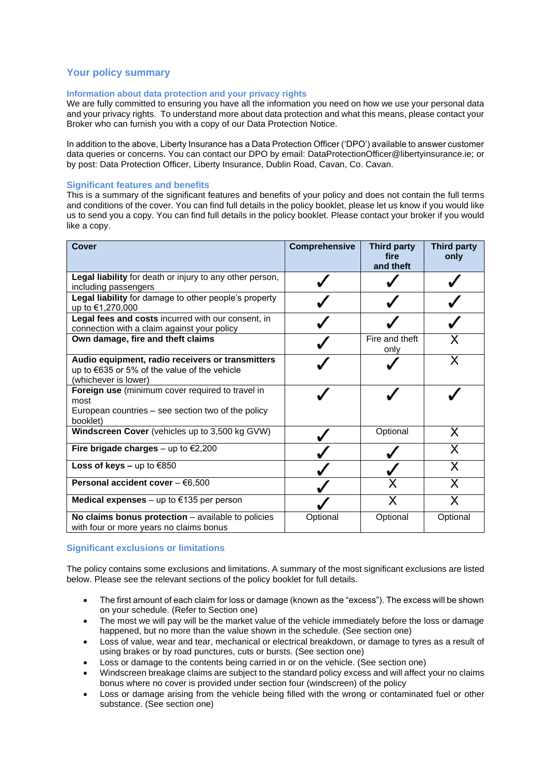# **Your policy summary**

## **Information about data protection and your privacy rights**

We are fully committed to ensuring you have all the information you need on how we use your personal data and your privacy rights. To understand more about data protection and what this means, please contact your Broker who can furnish you with a copy of our Data Protection Notice.

In addition to the above, Liberty Insurance has a Data Protection Officer ('DPO') available to answer customer data queries or concerns. You can contact our DPO by email: DataProtectionOfficer@libertyinsurance.ie; or by post: Data Protection Officer, Liberty Insurance, Dublin Road, Cavan, Co. Cavan.

## **Significant features and benefits**

This is a summary of the significant features and benefits of your policy and does not contain the full terms and conditions of the cover. You can find full details in the policy booklet, please let us know if you would like us to send you a copy. You can find full details in the policy booklet. Please contact your broker if you would like a copy.

| <b>Cover</b>                                                                                                               | Comprehensive | Third party<br>fire<br>and theft | <b>Third party</b><br>only |
|----------------------------------------------------------------------------------------------------------------------------|---------------|----------------------------------|----------------------------|
| Legal liability for death or injury to any other person,<br>including passengers                                           |               |                                  |                            |
| Legal liability for damage to other people's property<br>up to €1,270,000                                                  |               |                                  |                            |
| Legal fees and costs incurred with our consent, in<br>connection with a claim against your policy                          |               |                                  |                            |
| Own damage, fire and theft claims                                                                                          |               | Fire and theft<br>only           |                            |
| Audio equipment, radio receivers or transmitters<br>up to €635 or 5% of the value of the vehicle<br>(whichever is lower)   |               |                                  |                            |
| Foreign use (minimum cover required to travel in<br>most<br>European countries – see section two of the policy<br>booklet) |               |                                  |                            |
| Windscreen Cover (vehicles up to 3,500 kg GVW)                                                                             |               | Optional                         | Х                          |
| Fire brigade charges – up to $\epsilon$ 2,200                                                                              |               |                                  | Х                          |
| Loss of keys - up to $€850$                                                                                                |               |                                  | X                          |
| Personal accident cover $-66,500$                                                                                          |               |                                  | Х                          |
| Medical expenses – up to $€135$ per person                                                                                 |               | X                                | X                          |
| No claims bonus protection - available to policies<br>with four or more years no claims bonus                              | Optional      | Optional                         | Optional                   |

## **Significant exclusions or limitations**

The policy contains some exclusions and limitations. A summary of the most significant exclusions are listed below. Please see the relevant sections of the policy booklet for full details.

- The first amount of each claim for loss or damage (known as the "excess"). The excess will be shown on your schedule. (Refer to Section one)
- The most we will pay will be the market value of the vehicle immediately before the loss or damage happened, but no more than the value shown in the schedule. (See section one)
- Loss of value, wear and tear, mechanical or electrical breakdown, or damage to tyres as a result of using brakes or by road punctures, cuts or bursts. (See section one)
- Loss or damage to the contents being carried in or on the vehicle. (See section one)
- Windscreen breakage claims are subject to the standard policy excess and will affect your no claims bonus where no cover is provided under section four (windscreen) of the policy
- Loss or damage arising from the vehicle being filled with the wrong or contaminated fuel or other substance. (See section one)